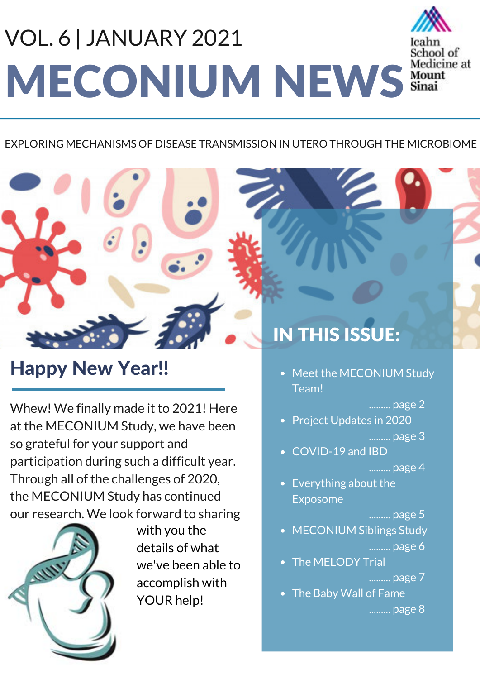# MECONIUM NEWS Mount VOL. 6 | JANUARY 2021



### EXPLORING MECHANISMS OF DISEASE TRANSMISSION IN UTERO THROUGH THE MICROBIOME

### Happy New Year!!

Whew! We finally made it to 2021! Here at the MECONIUM Study, we have been so grateful for your support and participation during such a difficult year. Through all of the challenges of 2020, the MECONIUM Study has continued our research. We look forward to sharing



with you the details of what we've been able to accomplish with YOUR help!

## IN THIS ISSUE:

• Meet the MECONIUM Study Team!

#### ......... page 2

• Project Updates in 2020

......... page 3

COVID-19 and IBD

#### ......... page 4

Everything about the Exposome

#### ......... page 5

- MECONIUM Siblings Study ......... page 6
- The MELODY Trial

### ......... page 7

• The Baby Wall of Fame

......... page 8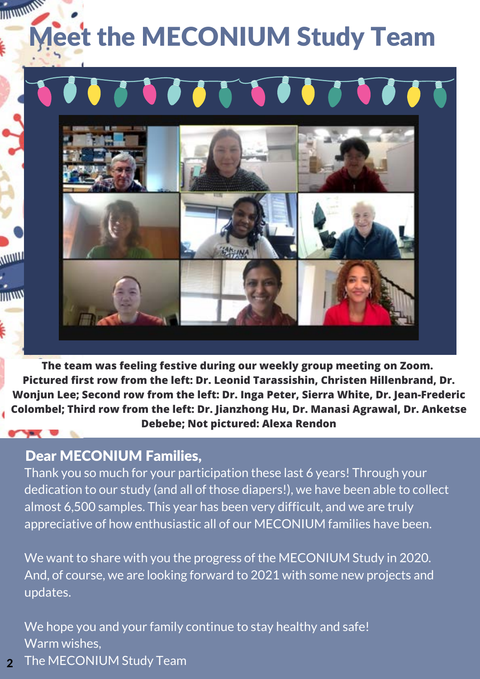## WWWW **Jeet the MECONIUM Study Team**



**The team was feeling festive during our weekly group meeting on Zoom. Pictured first row from the left: Dr. Leonid Tarassishin, Christen Hillenbrand, Dr. Wonjun Lee; Second row from the left: Dr. Inga Peter, Sierra White, Dr. Jean-Frederic Colombel; Third row from the left: Dr. Jianzhong Hu, Dr. Manasi Agrawal, Dr. Anketse Debebe; Not pictured: Alexa Rendon**

### Dear MECONIUM Families,

**WWW** 

muw

Thank you so much for your participation these last 6 years! Through your dedication to our study (and all of those diapers!), we have been able to collect almost 6,500 samples. This year has been very difficult, and we are truly appreciative of how enthusiastic all of our MECONIUM families have been.

We want to share with you the progress of the MECONIUM Study in 2020. And, of course, we are looking forward to 2021 with some new projects and updates.

We hope you and your family continue to stay healthy and safe! Warm wishes,

The MECONIUM Study Team 2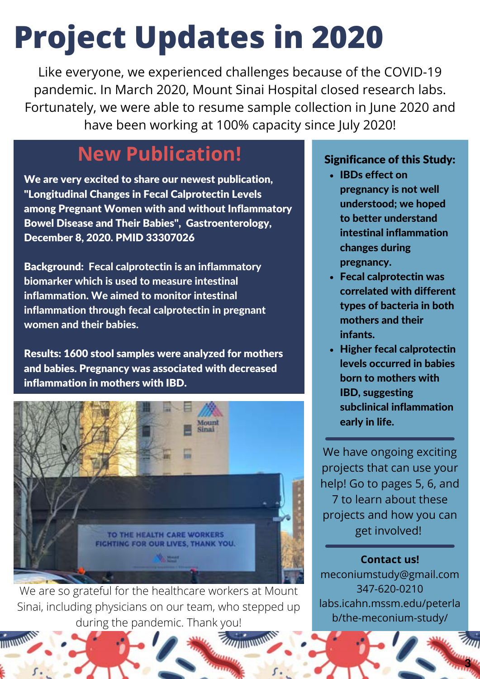# **Project Updates in 2020**

Like everyone, we experienced challenges because of the COVID-19 pandemic. In March 2020, Mount Sinai Hospital closed research labs. Fortunately, we were able to resume sample collection in June 2020 and have been working at 100% capacity since July 2020!

### **New Publication!**

We are very excited to share our newest publication, "Longitudinal Changes in Fecal Calprotectin Levels among Pregnant Women with and without Inflammatory Bowel Disease and Their Babies", Gastroenterology, December 8, 2020. PMID 33307026

Background: Fecal calprotectin is an inflammatory biomarker which is used to measure intestinal inflammation. We aimed to monitor intestinal inflammation through fecal calprotectin in pregnant women and their babies.

Results: 1600 stool samples were analyzed for mothers and babies. Pregnancy was associated with decreased inflammation in mothers with IBD.



We are so grateful for the healthcare workers at Mount Sinai, including physicians on our team, who stepped up during the pandemic. Thank you!

### Significance of this Study:

- IBDs effect on pregnancy is not well understood; we hoped to better understand intestinal inflammation changes during pregnancy.
- Fecal calprotectin was correlated with different types of bacteria in both mothers and their infants.
- Higher fecal calprotectin levels occurred in babies born to mothers with IBD, suggesting subclinical inflammation early in life.

We have ongoing exciting projects that can use your help! Go to pages 5, 6, and 7 to learn about these projects and how you can get involved!

**Contact us!** meconiumstudy@gmail.com 347-620-0210 labs.icahn.mssm.edu/peterla b/the-meconium-study/

3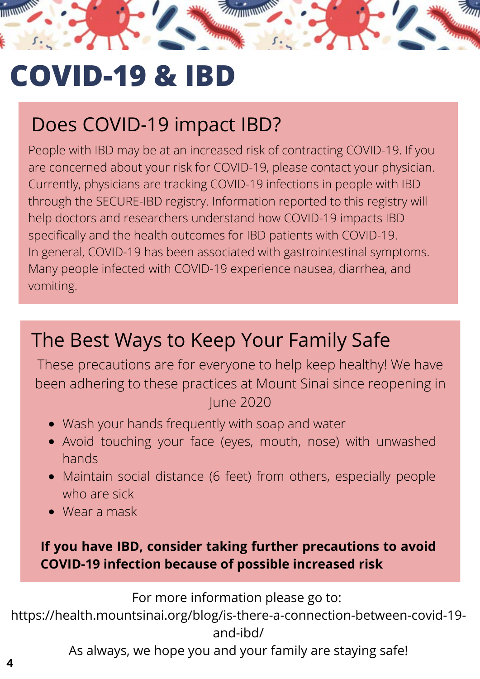## **COVID-19 & IBD**

## Does COVID-19 impact IBD?

People with IBD may be at an increased risk of contracting COVID-19. If you are concerned about your risk for COVID-19, please contact your physician. Currently, physicians are tracking COVID-19 infections in people with IBD through the SECURE-IBD registry. Information reported to this registry will help doctors and researchers understand how COVID-19 impacts IBD specifically and the health outcomes for IBD patients with COVID-19. In general, COVID-19 has been associated with gastrointestinal symptoms. Many people infected with COVID-19 experience nausea, diarrhea, and vomiting.

### The Best Ways to Keep Your Family Safe

These precautions are for everyone to help keep healthy! We have been adhering to these practices at Mount Sinai since reopening in June 2020

- Wash your hands frequently with soap and water
- Avoid touching your face (eyes, mouth, nose) with unwashed hands
- Maintain social distance (6 feet) from others, especially people who are sick
- Wear a mask

### **If you have IBD, consider taking further precautions to avoid COVID-19 infection because of possible increased risk**

For more information please go to:

https://health.mountsinai.org/blog/is-there-a-connection-between-covid-19 and-ibd/

As always, we hope you and your family are staying safe!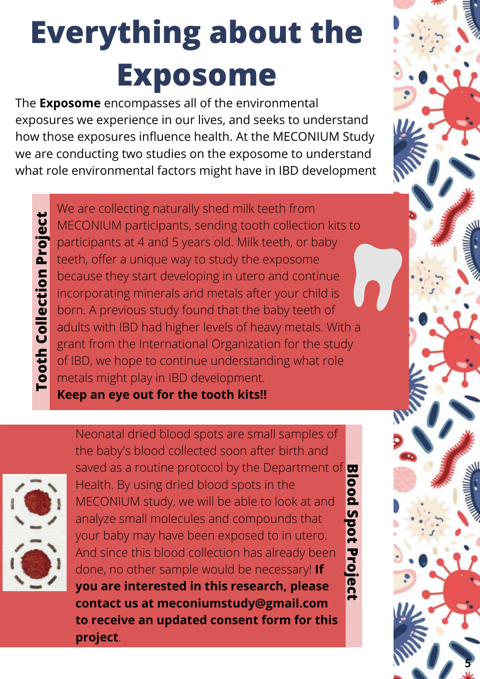# **Everything about the Exposome**

The **Exposome** encompasses all of the environmental exposures we experience in our lives, and seeks to understand how those exposures influence health. At the MECONIUM Study we are conducting two studies on the exposome to understand what role environmental factors might have in IBD development

**Tooth Collection Project** We are collecting naturally shed milk teeth from MECONIUM participants, sending tooth collection kits to participants at 4 and 5 years old. Milk teeth, or baby teeth, offer a unique way to study the exposome because they start developing in utero and continue incorporating minerals and metals after your child is born. A previous study found that the baby teeth of adults with IBD had higher levels of heavy metals. With a grant from the International Organization for the study of IBD, we hope to continue understanding what role metals might play in IBD development.

**Keep an eye out for the tooth kits!!**



**Tooth Collection Project** 

**Blood Spot Project** Neonatal dried blood spots are small samples of the baby's blood collected soon after birth and saved as a routine protocol by the Department of Health. By using dried blood spots in the MECONIUM study, we will be able to look at and analyze small molecules and compounds that your baby may have been exposed to in utero. And since this blood collection has already been done, no other sample would be necessary! **If you are interested in this research, please contact us at meconiumstudy@gmail.com to receive an updated consent form for this project**.

5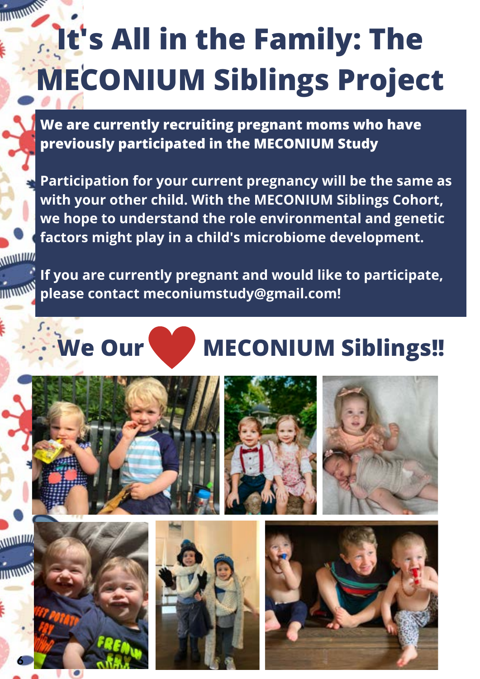## **MANUTAL It's All in the Family: The MECONIUM Siblings Project**

**We are currently recruiting pregnant moms who have previously participated in the MECONIUM Study**

**Participation for your current pregnancy will be the same as with your other child. With the MECONIUM Siblings Cohort, we hope to understand the role environmental and genetic factors might play in a child's microbiome development.**

*<u>ALLITTIN</u>* 

**If you are currently pregnant and would like to participate, please contact meconiumstudy@gmail.com!**

## **We Our MECONIUM Siblings!!**







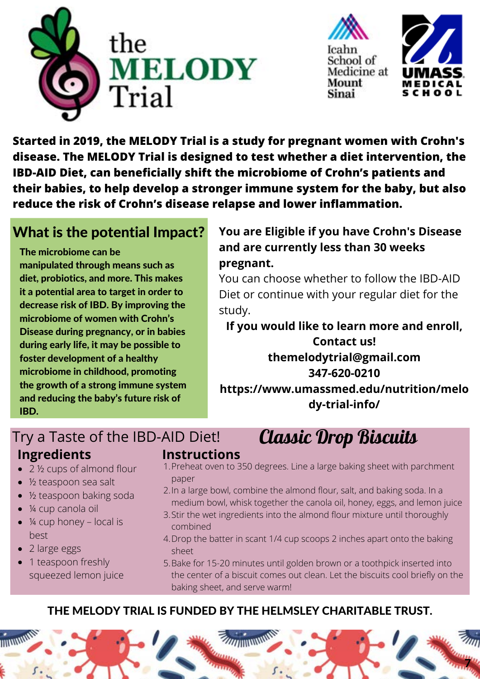



**Started in 2019, the MELODY Trial is a study for pregnant women with Crohn's disease. The MELODY Trial is designed to test whether a diet intervention, the IBD-AID Diet, can beneficially shift the microbiome of Crohn's patients and their babies, to help develop a stronger immune system for the baby, but also reduce the risk of Crohn's disease relapse and lower inflammation.**

### What is the potential Impact?

The microbiome can be

manipulated through means such as diet, probiotics, and more. This makes it a potential area to target in order to decrease risk of IBD. By improving the microbiome of women with Crohn's Disease during pregnancy, or in babies during early life, it may be possible to foster development of a healthy microbiome in childhood, promoting the growth of a strong immune system and reducing the baby's future risk of IBD.

### **You are Eligible if you have Crohn's Disease and are currently less than 30 weeks pregnant.**

You can choose whether to follow the IBD-AID Diet or continue with your regular diet for the study.

**If you would like to learn more and enroll, Contact us! themelodytrial@gmail.com 347-620-0210 https://www.umassmed.edu/nutrition/melo dy-trial-info/**

### Try a Taste of the IBD-AID Diet! Classic Drop Biscuits **Ingredients**

- 2 ½ cups of almond flour
- ½ teaspoon sea salt
- ½ teaspoon baking soda
- ¼ cup canola oil
- $\bullet$  ¼ cup honey local is best
- 2 large eggs
- 1 teaspoon freshly squeezed lemon juice

### **Instructions**

- 1.Preheat oven to 350 degrees. Line a large baking sheet with parchment paper
- 2. In a large bowl, combine the almond flour, salt, and baking soda. In a medium bowl, whisk together the canola oil, honey, eggs, and lemon juice
- Stir the wet ingredients into the almond flour mixture until thoroughly 3. combined
- 4. Drop the batter in scant 1/4 cup scoops 2 inches apart onto the baking sheet
- Bake for 15-20 minutes until golden brown or a toothpick inserted into 5. the center of a biscuit comes out clean. Let the biscuits cool briefly on the baking sheet, and serve warm!

### THE MELODY TRIAL IS FUNDED BY THE HELMSLEY CHARITABLE TRUST.